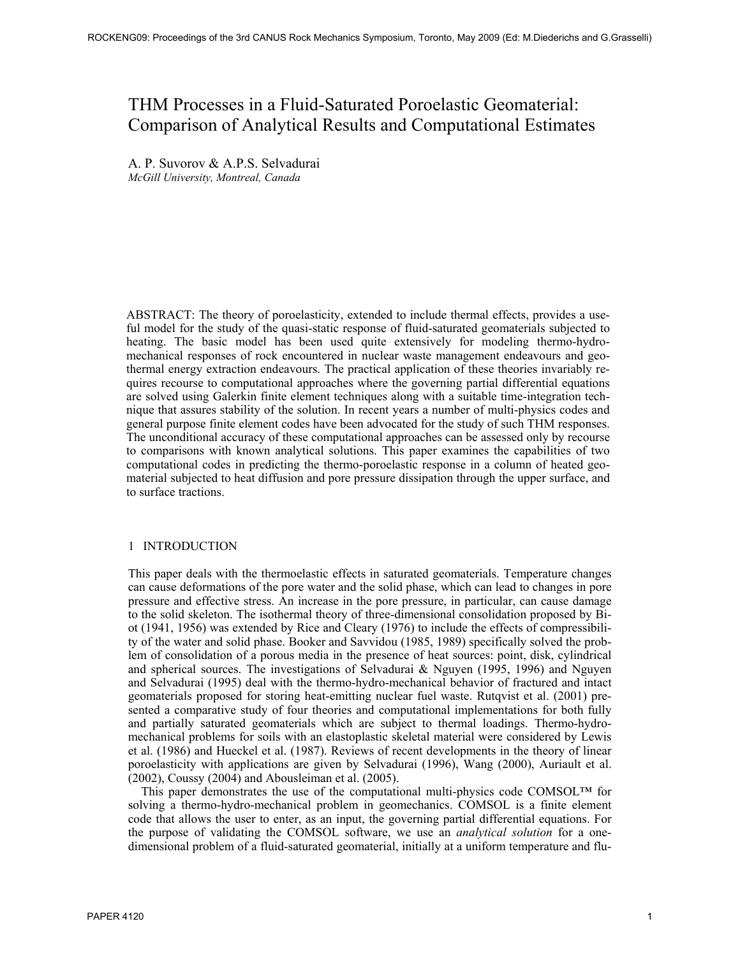# THM Processes in a Fluid-Saturated Poroelastic Geomaterial: Comparison of Analytical Results and Computational Estimates

A. P. Suvorov & A.P.S. Selvadurai *McGill University, Montreal, Canada* 

ABSTRACT: The theory of poroelasticity, extended to include thermal effects, provides a useful model for the study of the quasi-static response of fluid-saturated geomaterials subjected to heating. The basic model has been used quite extensively for modeling thermo-hydromechanical responses of rock encountered in nuclear waste management endeavours and geothermal energy extraction endeavours. The practical application of these theories invariably requires recourse to computational approaches where the governing partial differential equations are solved using Galerkin finite element techniques along with a suitable time-integration technique that assures stability of the solution. In recent years a number of multi-physics codes and general purpose finite element codes have been advocated for the study of such THM responses. The unconditional accuracy of these computational approaches can be assessed only by recourse to comparisons with known analytical solutions. This paper examines the capabilities of two computational codes in predicting the thermo-poroelastic response in a column of heated geomaterial subjected to heat diffusion and pore pressure dissipation through the upper surface, and to surface tractions.

#### 1 INTRODUCTION

This paper deals with the thermoelastic effects in saturated geomaterials. Temperature changes can cause deformations of the pore water and the solid phase, which can lead to changes in pore pressure and effective stress. An increase in the pore pressure, in particular, can cause damage to the solid skeleton. The isothermal theory of three-dimensional consolidation proposed by Biot (1941, 1956) was extended by Rice and Cleary (1976) to include the effects of compressibility of the water and solid phase. Booker and Savvidou (1985, 1989) specifically solved the problem of consolidation of a porous media in the presence of heat sources: point, disk, cylindrical and spherical sources. The investigations of Selvadurai & Nguyen (1995, 1996) and Nguyen and Selvadurai (1995) deal with the thermo-hydro-mechanical behavior of fractured and intact geomaterials proposed for storing heat-emitting nuclear fuel waste. Rutqvist et al. (2001) presented a comparative study of four theories and computational implementations for both fully and partially saturated geomaterials which are subject to thermal loadings. Thermo-hydromechanical problems for soils with an elastoplastic skeletal material were considered by Lewis et al. (1986) and Hueckel et al. (1987). Reviews of recent developments in the theory of linear poroelasticity with applications are given by Selvadurai (1996), Wang (2000), Auriault et al. (2002), Coussy (2004) and Abousleiman et al. (2005).

 This paper demonstrates the use of the computational multi-physics code COMSOL™ for solving a thermo-hydro-mechanical problem in geomechanics. COMSOL is a finite element code that allows the user to enter, as an input, the governing partial differential equations. For the purpose of validating the COMSOL software, we use an *analytical solution* for a onedimensional problem of a fluid-saturated geomaterial, initially at a uniform temperature and flu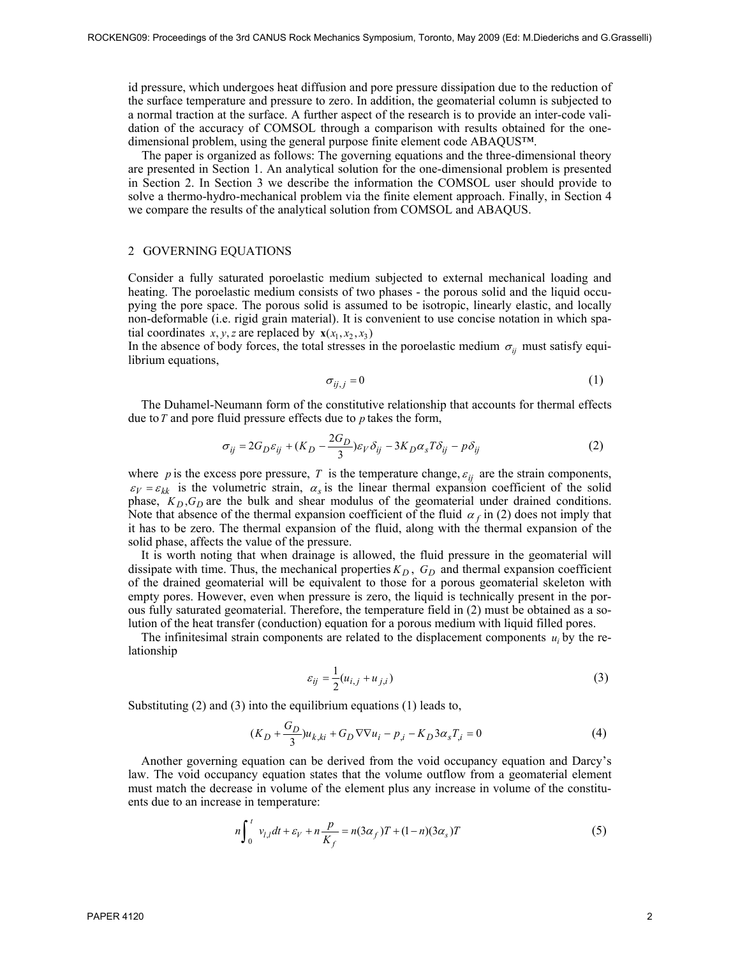id pressure, which undergoes heat diffusion and pore pressure dissipation due to the reduction of the surface temperature and pressure to zero. In addition, the geomaterial column is subjected to a normal traction at the surface. A further aspect of the research is to provide an inter-code validation of the accuracy of COMSOL through a comparison with results obtained for the onedimensional problem, using the general purpose finite element code ABAQUS™.

 The paper is organized as follows: The governing equations and the three-dimensional theory are presented in Section 1. An analytical solution for the one-dimensional problem is presented in Section 2. In Section 3 we describe the information the COMSOL user should provide to solve a thermo-hydro-mechanical problem via the finite element approach. Finally, in Section 4 we compare the results of the analytical solution from COMSOL and ABAQUS.

#### 2 GOVERNING EQUATIONS

Consider a fully saturated poroelastic medium subjected to external mechanical loading and heating. The poroelastic medium consists of two phases - the porous solid and the liquid occupying the pore space. The porous solid is assumed to be isotropic, linearly elastic, and locally non-deformable (i.e. rigid grain material). It is convenient to use concise notation in which spatial coordinates *x*, *y*, *z* are replaced by  $\mathbf{x}(x_1, x_2, x_3)$ 

In the absence of body forces, the total stresses in the poroelastic medium  $\sigma_{ii}$  must satisfy equilibrium equations,

$$
\sigma_{ij,j} = 0 \tag{1}
$$

The Duhamel-Neumann form of the constitutive relationship that accounts for thermal effects due to*T* and pore fluid pressure effects due to *p* takes the form,

$$
\sigma_{ij} = 2G_D \varepsilon_{ij} + (K_D - \frac{2G_D}{3})\varepsilon_V \delta_{ij} - 3K_D \alpha_s T \delta_{ij} - p \delta_{ij}
$$
 (2)

where *p* is the excess pore pressure, *T* is the temperature change,  $\varepsilon_{ij}$  are the strain components,  $\varepsilon_V = \varepsilon_{kk}$  is the volumetric strain,  $\alpha_s$  is the linear thermal expansion coefficient of the solid phase,  $K_D$ ,  $G_D$  are the bulk and shear modulus of the geomaterial under drained conditions. Note that absence of the thermal expansion coefficient of the fluid  $\alpha_f$  in (2) does not imply that it has to be zero. The thermal expansion of the fluid, along with the thermal expansion of the solid phase, affects the value of the pressure.

 It is worth noting that when drainage is allowed, the fluid pressure in the geomaterial will dissipate with time. Thus, the mechanical properties  $K_D$ ,  $G_D$  and thermal expansion coefficient of the drained geomaterial will be equivalent to those for a porous geomaterial skeleton with empty pores. However, even when pressure is zero, the liquid is technically present in the porous fully saturated geomaterial. Therefore, the temperature field in (2) must be obtained as a solution of the heat transfer (conduction) equation for a porous medium with liquid filled pores.

The infinitesimal strain components are related to the displacement components  $u_i$  by the relationship

$$
\varepsilon_{ij} = \frac{1}{2}(u_{i,j} + u_{j,i})
$$
\n(3)

Substituting (2) and (3) into the equilibrium equations (1) leads to,

$$
(K_D + \frac{G_D}{3})u_{k,ki} + G_D \nabla \nabla u_i - p_{,i} - K_D 3 \alpha_s T_{,i} = 0
$$
\n(4)

Another governing equation can be derived from the void occupancy equation and Darcy's law. The void occupancy equation states that the volume outflow from a geomaterial element must match the decrease in volume of the element plus any increase in volume of the constituents due to an increase in temperature:

$$
n\int_0^t v_{l,l}dt + \varepsilon_V + n\frac{p}{K_f} = n(3\alpha_f)T + (1-n)(3\alpha_s)T
$$
\n<sup>(5)</sup>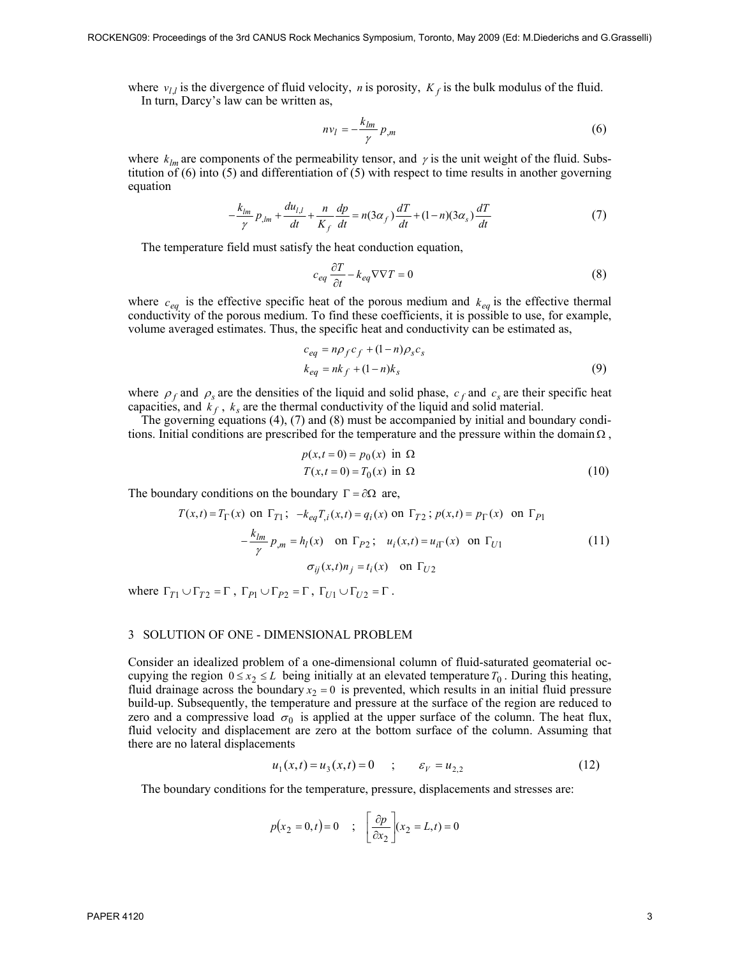where  $v_l$  is the divergence of fluid velocity, *n* is porosity,  $K_f$  is the bulk modulus of the fluid. In turn, Darcy's law can be written as,

$$
nv_l = -\frac{k_{lm}}{\gamma} p_{,m} \tag{6}
$$

where  $k_{lm}$  are components of the permeability tensor, and  $\gamma$  is the unit weight of the fluid. Substitution of (6) into (5) and differentiation of (5) with respect to time results in another governing equation

$$
-\frac{k_{lm}}{\gamma}p_{lm} + \frac{du_{l,l}}{dt} + \frac{n}{K_f}\frac{dp}{dt} = n(3\alpha_f)\frac{dT}{dt} + (1-n)(3\alpha_s)\frac{dT}{dt}
$$
(7)

The temperature field must satisfy the heat conduction equation,

$$
c_{eq} \frac{\partial T}{\partial t} - k_{eq} \nabla \nabla T = 0 \tag{8}
$$

where  $c_{eq}$  is the effective specific heat of the porous medium and  $k_{eq}$  is the effective thermal conductivity of the porous medium. To find these coefficients, it is possible to use, for example, volume averaged estimates. Thus, the specific heat and conductivity can be estimated as,

$$
c_{eq} = n\rho_f c_f + (1 - n)\rho_s c_s
$$
  
\n
$$
k_{eq} = nk_f + (1 - n)k_s
$$
 (9)

where  $\rho_f$  and  $\rho_s$  are the densities of the liquid and solid phase,  $c_f$  and  $c_s$  are their specific heat capacities, and  $k_f$ ,  $k_s$  are the thermal conductivity of the liquid and solid material.

The governing equations (4), (7) and (8) must be accompanied by initial and boundary conditions. Initial conditions are prescribed for the temperature and the pressure within the domain  $\Omega$ ,

$$
p(x,t=0) = p_0(x) \text{ in } \Omega
$$
  

$$
T(x,t=0) = T_0(x) \text{ in } \Omega
$$
 (10)

The boundary conditions on the boundary  $\Gamma = \partial \Omega$  are,

$$
T(x,t) = T_{\Gamma}(x) \text{ on } \Gamma_{T1}; \ -k_{eq}T_{,i}(x,t) = q_i(x) \text{ on } \Gamma_{T2}; \ p(x,t) = p_{\Gamma}(x) \text{ on } \Gamma_{P1}
$$

$$
-\frac{k_{lm}}{\gamma} p_{,m} = h_l(x) \text{ on } \Gamma_{P2}; \ u_i(x,t) = u_{i\Gamma}(x) \text{ on } \Gamma_{U1}
$$

$$
\sigma_{ij}(x,t)n_j = t_i(x) \text{ on } \Gamma_{U2}
$$
 (11)

where  $\Gamma_{T1} \cup \Gamma_{T2} = \Gamma$ ,  $\Gamma_{P1} \cup \Gamma_{P2} = \Gamma$ ,  $\Gamma_{U1} \cup \Gamma_{U2} = \Gamma$ .

#### 3 SOLUTION OF ONE - DIMENSIONAL PROBLEM

Consider an idealized problem of a one-dimensional column of fluid-saturated geomaterial occupying the region  $0 \le x_2 \le L$  being initially at an elevated temperature  $T_0$ . During this heating, fluid drainage across the boundary  $x_2 = 0$  is prevented, which results in an initial fluid pressure build-up. Subsequently, the temperature and pressure at the surface of the region are reduced to zero and a compressive load  $\sigma_0$  is applied at the upper surface of the column. The heat flux, fluid velocity and displacement are zero at the bottom surface of the column. Assuming that there are no lateral displacements

$$
u_1(x,t) = u_3(x,t) = 0 \qquad ; \qquad \varepsilon_V = u_{2,2} \tag{12}
$$

The boundary conditions for the temperature, pressure, displacements and stresses are:

$$
p(x_2 = 0, t) = 0 \quad ; \quad \left[\frac{\partial p}{\partial x_2}\right](x_2 = L, t) = 0
$$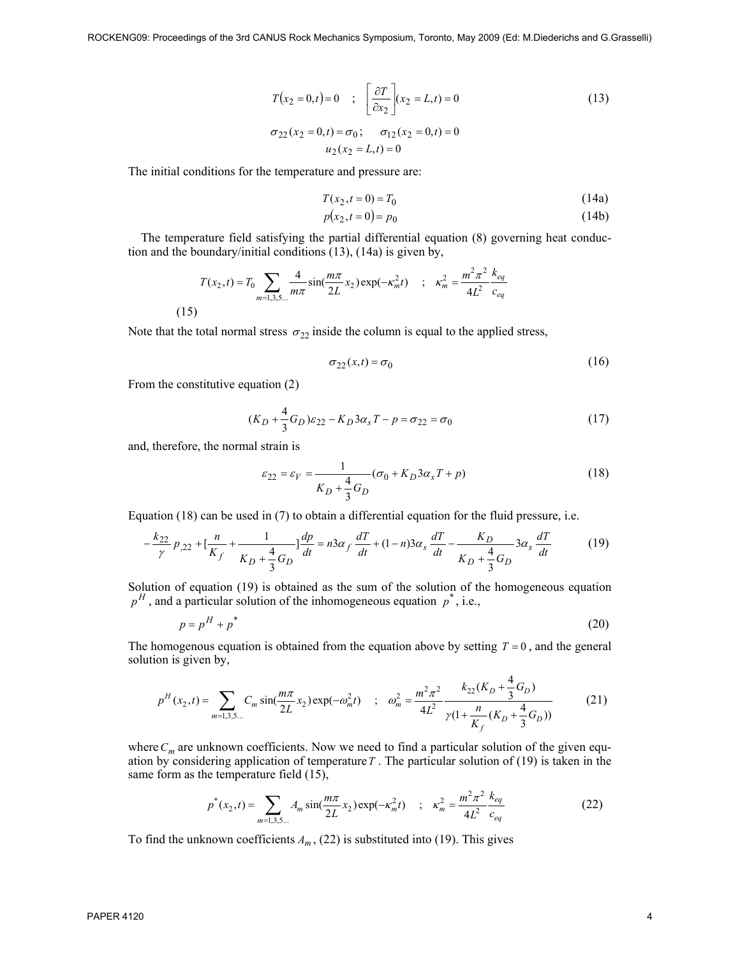$$
T(x_2 = 0, t) = 0 \quad ; \quad \left[\frac{\partial T}{\partial x_2}\right](x_2 = L, t) = 0
$$
\n
$$
\sigma_{22}(x_2 = 0, t) = \sigma_0; \quad \sigma_{12}(x_2 = 0, t) = 0
$$
\n
$$
u_2(x_2 = L, t) = 0
$$
\n(13)

The initial conditions for the temperature and pressure are:

$$
T(x_2, t = 0) = T_0 \tag{14a}
$$

$$
p(x_2, t = 0) = p_0 \tag{14b}
$$

The temperature field satisfying the partial differential equation (8) governing heat conduction and the boundary/initial conditions (13), (14a) is given by,

$$
T(x_2, t) = T_0 \sum_{m=1,3,5...} \frac{4}{m\pi} \sin(\frac{m\pi}{2L} x_2) \exp(-\kappa_m^2 t) \quad ; \quad \kappa_m^2 = \frac{m^2 \pi^2}{4L^2} \frac{k_{eq}}{c_{eq}}
$$
\n(15)

Note that the total normal stress  $\sigma_{22}$  inside the column is equal to the applied stress,

$$
\sigma_{22}(x,t) = \sigma_0 \tag{16}
$$

From the constitutive equation (2)

$$
(K_D + \frac{4}{3}G_D)\varepsilon_{22} - K_D 3\alpha_s T - p = \sigma_{22} = \sigma_0
$$
\n(17)

and, therefore, the normal strain is

$$
\varepsilon_{22} = \varepsilon_V = \frac{1}{K_D + \frac{4}{3}G_D} (\sigma_0 + K_D 3\alpha_s T + p)
$$
\n(18)

Equation (18) can be used in (7) to obtain a differential equation for the fluid pressure, i.e.

$$
-\frac{k_{22}}{\gamma}p_{,22} + \left[\frac{n}{K_f} + \frac{1}{K_D + \frac{4}{3}G_D}\right]\frac{dp}{dt} = n3\alpha_f\frac{dT}{dt} + (1-n)3\alpha_s\frac{dT}{dt} - \frac{K_D}{K_D + \frac{4}{3}G_D}3\alpha_s\frac{dT}{dt}
$$
(19)

Solution of equation (19) is obtained as the sum of the solution of the homogeneous equation  $p<sup>H</sup>$ , and a particular solution of the inhomogeneous equation  $p^*$ , i.e.,

$$
p = p^H + p^* \tag{20}
$$

The homogenous equation is obtained from the equation above by setting  $T = 0$ , and the general solution is given by,

$$
p^{H}(x_2,t) = \sum_{m=1,3,5...} C_m \sin(\frac{m\pi}{2L}x_2) \exp(-\omega_m^2 t) \quad ; \quad \omega_m^2 = \frac{m^2 \pi^2}{4L^2} \frac{k_{22}(K_D + \frac{4}{3}G_D)}{\gamma(1 + \frac{n}{K_f}(K_D + \frac{4}{3}G_D))}
$$
(21)

where  $C_m$  are unknown coefficients. Now we need to find a particular solution of the given equation by considering application of temperature*T* . The particular solution of (19) is taken in the same form as the temperature field  $(15)$ ,

$$
p^*(x_2, t) = \sum_{m=1,3,5...} A_m \sin(\frac{m\pi}{2L}x_2) \exp(-\kappa_m^2 t) \quad ; \quad \kappa_m^2 = \frac{m^2 \pi^2}{4L^2} \frac{k_{eq}}{c_{eq}} \tag{22}
$$

To find the unknown coefficients  $A_m$ , (22) is substituted into (19). This gives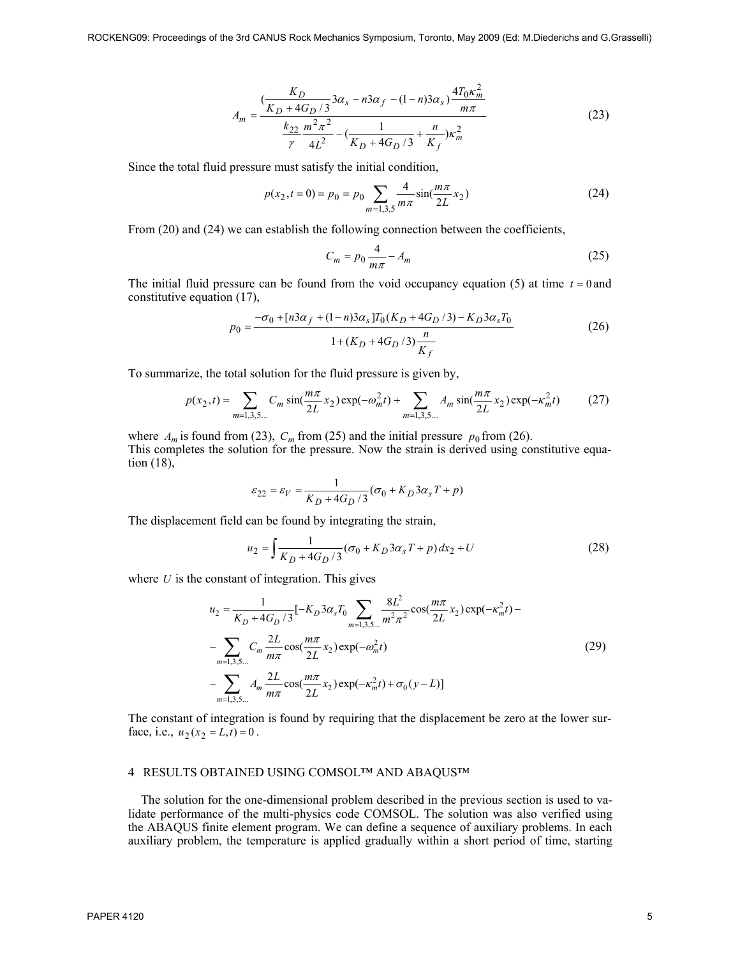$$
A_m = \frac{\left(\frac{K_D}{K_D + 4G_D/3} 3\alpha_s - n3\alpha_f - (1 - n)3\alpha_s\right) \frac{4T_0\kappa_m^2}{m\pi}}{\frac{k_{22}}{\gamma} \frac{m^2\pi^2}{4L^2} - \left(\frac{1}{K_D + 4G_D/3} + \frac{n}{K_f}\right)\kappa_m^2}
$$
(23)

Since the total fluid pressure must satisfy the initial condition,

$$
p(x_2, t = 0) = p_0 = p_0 \sum_{m=1,3,5} \frac{4}{m\pi} \sin(\frac{m\pi}{2L} x_2)
$$
 (24)

From (20) and (24) we can establish the following connection between the coefficients,

$$
C_m = p_0 \frac{4}{m\pi} - A_m \tag{25}
$$

The initial fluid pressure can be found from the void occupancy equation  $(5)$  at time  $t = 0$  and constitutive equation (17),

$$
p_0 = \frac{-\sigma_0 + [n\beta\alpha_f + (1-n)\beta\alpha_s]T_0(K_D + 4G_D/3) - K_D\beta\alpha_s T_0}{1 + (K_D + 4G_D/3)\frac{n}{K_f}}
$$
(26)

To summarize, the total solution for the fluid pressure is given by,

$$
p(x_2, t) = \sum_{m=1,3,5...} C_m \sin(\frac{m\pi}{2L} x_2) \exp(-\omega_m^2 t) + \sum_{m=1,3,5...} A_m \sin(\frac{m\pi}{2L} x_2) \exp(-\kappa_m^2 t)
$$
(27)

where  $A_m$  is found from (23),  $C_m$  from (25) and the initial pressure  $p_0$  from (26). This completes the solution for the pressure. Now the strain is derived using constitutive equation (18),

$$
\varepsilon_{22} = \varepsilon_V = \frac{1}{K_D + 4G_D/3} (\sigma_0 + K_D 3\alpha_s T + p)
$$

The displacement field can be found by integrating the strain,

$$
u_2 = \int \frac{1}{K_D + 4G_D / 3} (\sigma_0 + K_D 3\alpha_s T + p) dx_2 + U \tag{28}
$$

where *U* is the constant of integration. This gives

$$
u_2 = \frac{1}{K_D + 4G_D/3} [-K_D 3\alpha_s T_0 \sum_{m=1,3,5...} \frac{8L^2}{m^2 \pi^2} \cos(\frac{m\pi}{2L} x_2) \exp(-\kappa_m^2 t) -
$$
  
- 
$$
\sum_{m=1,3,5...} C_m \frac{2L}{m\pi} \cos(\frac{m\pi}{2L} x_2) \exp(-\omega_m^2 t)
$$
  
- 
$$
\sum_{m=1,3,5...} A_m \frac{2L}{m\pi} \cos(\frac{m\pi}{2L} x_2) \exp(-\kappa_m^2 t) + \sigma_0 (y - L)]
$$
(29)

The constant of integration is found by requiring that the displacement be zero at the lower surface, i.e.,  $u_2(x_2 = L, t) = 0$ .

#### 4 RESULTS OBTAINED USING COMSOL™ AND ABAQUS™

The solution for the one-dimensional problem described in the previous section is used to validate performance of the multi-physics code COMSOL. The solution was also verified using the ABAQUS finite element program. We can define a sequence of auxiliary problems. In each auxiliary problem, the temperature is applied gradually within a short period of time, starting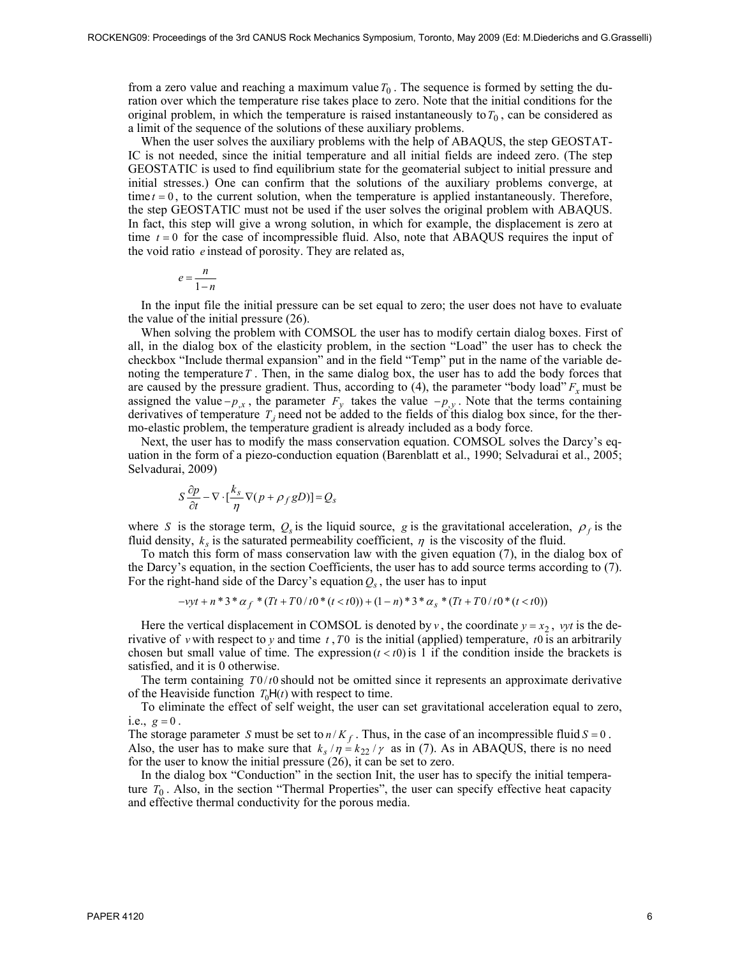from a zero value and reaching a maximum value  $T_0$ . The sequence is formed by setting the duration over which the temperature rise takes place to zero. Note that the initial conditions for the original problem, in which the temperature is raised instantaneously to  $T_0$ , can be considered as a limit of the sequence of the solutions of these auxiliary problems.

When the user solves the auxiliary problems with the help of ABAQUS, the step GEOSTAT-IC is not needed, since the initial temperature and all initial fields are indeed zero. (The step GEOSTATIC is used to find equilibrium state for the geomaterial subject to initial pressure and initial stresses.) One can confirm that the solutions of the auxiliary problems converge, at time  $t = 0$ , to the current solution, when the temperature is applied instantaneously. Therefore, the step GEOSTATIC must not be used if the user solves the original problem with ABAQUS. In fact, this step will give a wrong solution, in which for example, the displacement is zero at time  $t = 0$  for the case of incompressible fluid. Also, note that ABAQUS requires the input of the void ratio *e* instead of porosity. They are related as,

$$
e = \frac{n}{1 - n}
$$

In the input file the initial pressure can be set equal to zero; the user does not have to evaluate the value of the initial pressure (26).

When solving the problem with COMSOL the user has to modify certain dialog boxes. First of all, in the dialog box of the elasticity problem, in the section "Load" the user has to check the checkbox "Include thermal expansion" and in the field "Temp" put in the name of the variable denoting the temperature*T* . Then, in the same dialog box, the user has to add the body forces that are caused by the pressure gradient. Thus, according to  $(4)$ , the parameter "body load"  $F<sub>x</sub>$  must be assigned the value  $-p_{,x}$ , the parameter  $F_y$  takes the value  $-p_{,y}$ . Note that the terms containing derivatives of temperature  $T_i$  need not be added to the fields of this dialog box since, for the thermo-elastic problem, the temperature gradient is already included as a body force.

Next, the user has to modify the mass conservation equation. COMSOL solves the Darcy's equation in the form of a piezo-conduction equation (Barenblatt et al., 1990; Selvadurai et al., 2005; Selvadurai, 2009)

$$
S\frac{\partial p}{\partial t} - \nabla \cdot \left[\frac{k_s}{\eta} \nabla (p + \rho_f gD)\right] = Q_s
$$

where *S* is the storage term,  $Q_s$  is the liquid source, *g* is the gravitational acceleration,  $\rho_f$  is the fluid density,  $k_s$  is the saturated permeability coefficient,  $\eta$  is the viscosity of the fluid.

To match this form of mass conservation law with the given equation (7), in the dialog box of the Darcy's equation, in the section Coefficients, the user has to add source terms according to (7). For the right-hand side of the Darcy's equation  $Q_s$ , the user has to input

$$
-vyt + n*3* \alpha_f * (Tt + T0/t0 * (t < t0)) + (1 - n)*3* \alpha_s * (Tt + T0/t0 * (t < t0))
$$

Here the vertical displacement in COMSOL is denoted by *v*, the coordinate  $y = x_2$ , *vyt* is the derivative of *v* with respect to *y* and time *t* ,*T*0 is the initial (applied) temperature, *t*0 is an arbitrarily chosen but small value of time. The expression  $(t < t_0)$  is 1 if the condition inside the brackets is satisfied, and it is 0 otherwise.

The term containing  $T0/t0$  should not be omitted since it represents an approximate derivative of the Heaviside function  $T_0H(t)$  with respect to time.

To eliminate the effect of self weight, the user can set gravitational acceleration equal to zero, i.e.,  $g = 0$ .

The storage parameter *S* must be set to  $n/K_f$ . Thus, in the case of an incompressible fluid  $S = 0$ . Also, the user has to make sure that  $k_s / \eta = k_{22} / \gamma$  as in (7). As in ABAQUS, there is no need for the user to know the initial pressure (26), it can be set to zero.

In the dialog box "Conduction" in the section Init, the user has to specify the initial temperature  $T_0$ . Also, in the section "Thermal Properties", the user can specify effective heat capacity and effective thermal conductivity for the porous media.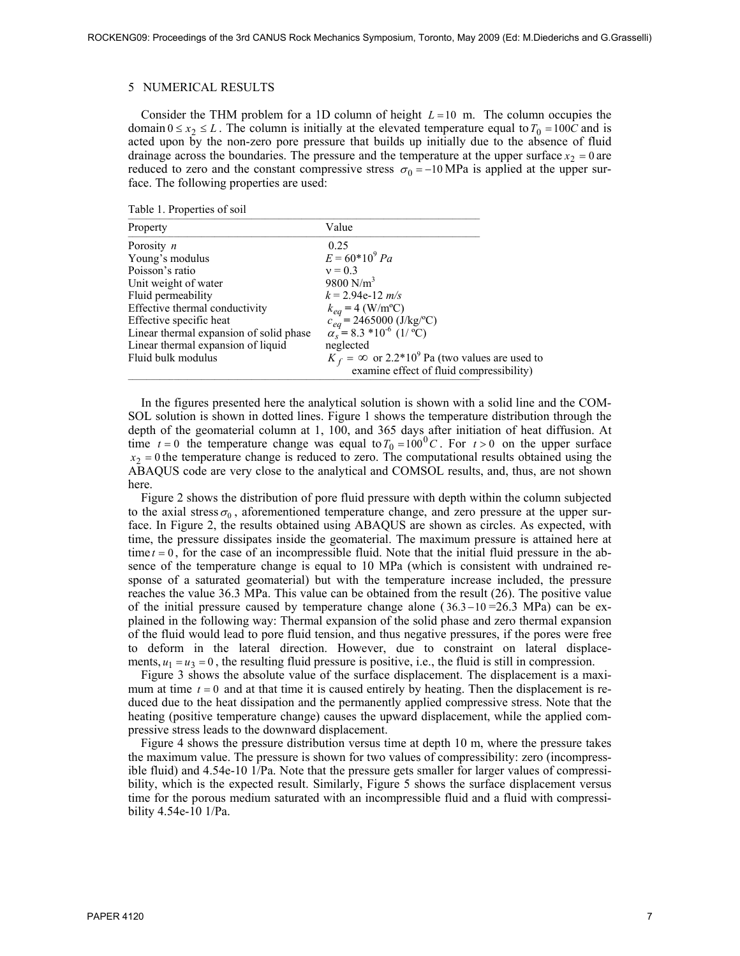#### 5 NUMERICAL RESULTS

Consider the THM problem for a 1D column of height *L* =10 m. The column occupies the domain  $0 \le x_2 \le L$ . The column is initially at the elevated temperature equal to  $T_0 = 100C$  and is acted upon by the non-zero pore pressure that builds up initially due to the absence of fluid drainage across the boundaries. The pressure and the temperature at the upper surface  $x<sub>2</sub> = 0$  are reduced to zero and the constant compressive stress  $\sigma_0 = -10$  MPa is applied at the upper surface. The following properties are used:

Table 1. Properties of soil

| Property                                | Value                                                                          |
|-----------------------------------------|--------------------------------------------------------------------------------|
| Porosity $n$                            | 0.25                                                                           |
| Young's modulus                         | $E = 60*10^9 Pa$                                                               |
| Poisson's ratio                         | $v = 0.3$                                                                      |
| Unit weight of water                    | 9800 $N/m^3$                                                                   |
| Fluid permeability                      | $k = 2.94e-12 m/s$                                                             |
| Effective thermal conductivity          | $k_{eq} = 4$ (W/m <sup>o</sup> C)                                              |
| Effective specific heat                 |                                                                                |
| Linear thermal expansion of solid phase | $c_{eq}^{eq}$ = 2465000 (J/kg/°C)<br>$\alpha_s$ = 8.3 *10 <sup>-6</sup> (1/°C) |
| Linear thermal expansion of liquid      | neglected                                                                      |
| Fluid bulk modulus                      | $K_f = \infty$ or 2.2*10 <sup>9</sup> Pa (two values are used to               |
|                                         | examine effect of fluid compressibility)                                       |

In the figures presented here the analytical solution is shown with a solid line and the COM-SOL solution is shown in dotted lines. Figure 1 shows the temperature distribution through the depth of the geomaterial column at 1, 100, and 365 days after initiation of heat diffusion. At time  $t = 0$  the temperature change was equal to  $T_0 = 100^0 C$ . For  $t > 0$  on the upper surface  $x_2 = 0$  the temperature change is reduced to zero. The computational results obtained using the ABAQUS code are very close to the analytical and COMSOL results, and, thus, are not shown here.

Figure 2 shows the distribution of pore fluid pressure with depth within the column subjected to the axial stress  $\sigma_0$ , aforementioned temperature change, and zero pressure at the upper surface. In Figure 2, the results obtained using ABAQUS are shown as circles. As expected, with time, the pressure dissipates inside the geomaterial. The maximum pressure is attained here at time  $t = 0$ , for the case of an incompressible fluid. Note that the initial fluid pressure in the absence of the temperature change is equal to 10 MPa (which is consistent with undrained response of a saturated geomaterial) but with the temperature increase included, the pressure reaches the value 36.3 MPa. This value can be obtained from the result (26). The positive value of the initial pressure caused by temperature change alone ( $36.3 -10 = 26.3$  MPa) can be explained in the following way: Thermal expansion of the solid phase and zero thermal expansion of the fluid would lead to pore fluid tension, and thus negative pressures, if the pores were free to deform in the lateral direction. However, due to constraint on lateral displacements,  $u_1 = u_3 = 0$ , the resulting fluid pressure is positive, i.e., the fluid is still in compression.

Figure 3 shows the absolute value of the surface displacement. The displacement is a maximum at time  $t = 0$  and at that time it is caused entirely by heating. Then the displacement is reduced due to the heat dissipation and the permanently applied compressive stress. Note that the heating (positive temperature change) causes the upward displacement, while the applied compressive stress leads to the downward displacement.

Figure 4 shows the pressure distribution versus time at depth 10 m, where the pressure takes the maximum value. The pressure is shown for two values of compressibility: zero (incompressible fluid) and 4.54e-10 1/Pa. Note that the pressure gets smaller for larger values of compressibility, which is the expected result. Similarly, Figure 5 shows the surface displacement versus time for the porous medium saturated with an incompressible fluid and a fluid with compressibility 4.54e-10 1/Pa.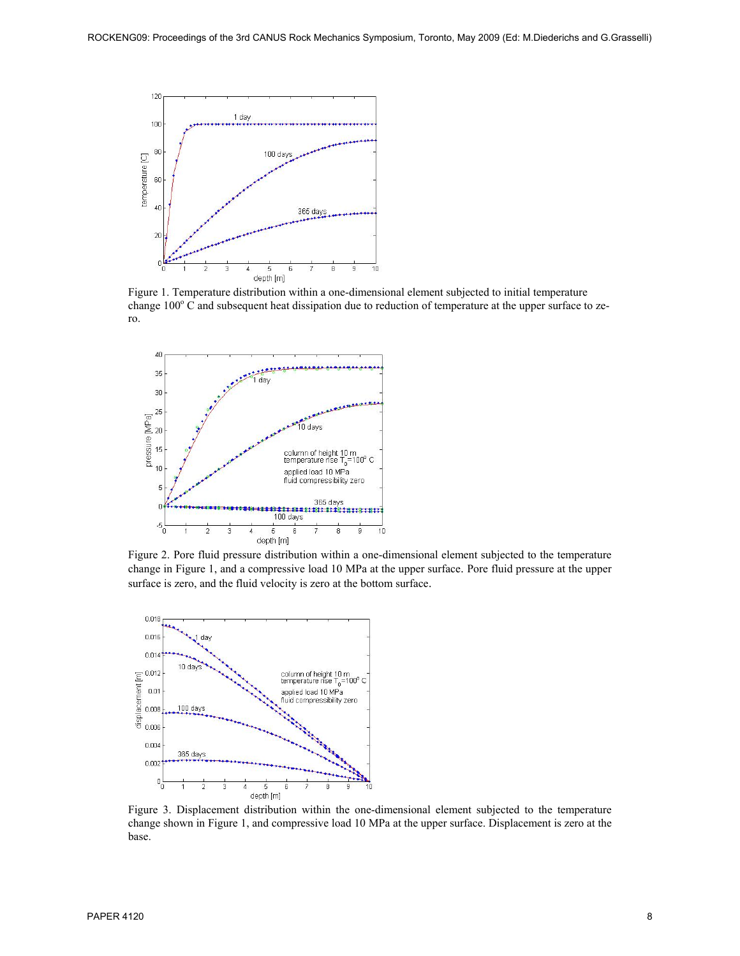

Figure 1. Temperature distribution within a one-dimensional element subjected to initial temperature change  $100^{\circ}$  C and subsequent heat dissipation due to reduction of temperature at the upper surface to zero.



Figure 2. Pore fluid pressure distribution within a one-dimensional element subjected to the temperature change in Figure 1, and a compressive load 10 MPa at the upper surface. Pore fluid pressure at the upper surface is zero, and the fluid velocity is zero at the bottom surface.



Figure 3. Displacement distribution within the one-dimensional element subjected to the temperature change shown in Figure 1, and compressive load 10 MPa at the upper surface. Displacement is zero at the base.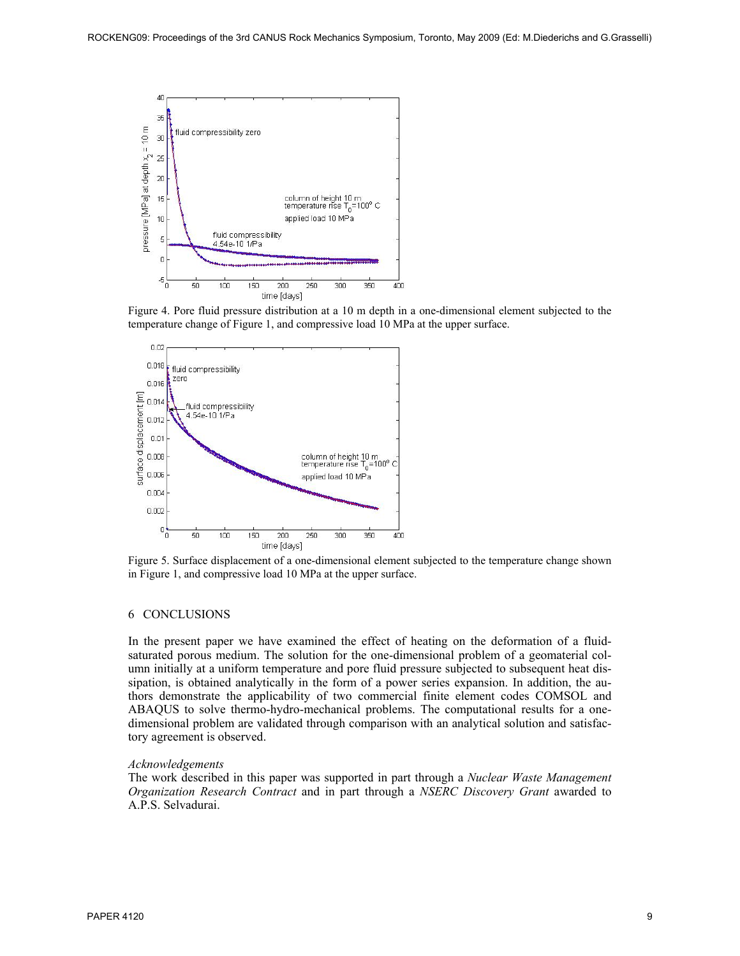

Figure 4. Pore fluid pressure distribution at a 10 m depth in a one-dimensional element subjected to the temperature change of Figure 1, and compressive load 10 MPa at the upper surface.



Figure 5. Surface displacement of a one-dimensional element subjected to the temperature change shown in Figure 1, and compressive load 10 MPa at the upper surface.

## 6 CONCLUSIONS

In the present paper we have examined the effect of heating on the deformation of a fluidsaturated porous medium. The solution for the one-dimensional problem of a geomaterial column initially at a uniform temperature and pore fluid pressure subjected to subsequent heat dissipation, is obtained analytically in the form of a power series expansion. In addition, the authors demonstrate the applicability of two commercial finite element codes COMSOL and ABAQUS to solve thermo-hydro-mechanical problems. The computational results for a onedimensional problem are validated through comparison with an analytical solution and satisfactory agreement is observed.

#### *Acknowledgements*

The work described in this paper was supported in part through a *Nuclear Waste Management Organization Research Contract* and in part through a *NSERC Discovery Grant* awarded to A.P.S. Selvadurai.